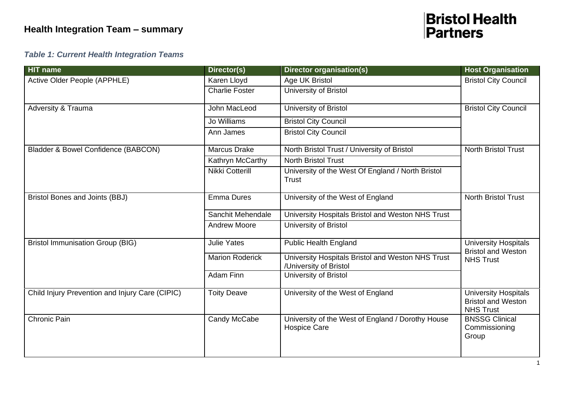#### *Table 1: Current Health Integration Teams*

| <b>HIT name</b>                                 | Director(s)            | Director organisation(s)                                                    | <b>Host Organisation</b>                                                     |  |
|-------------------------------------------------|------------------------|-----------------------------------------------------------------------------|------------------------------------------------------------------------------|--|
| Active Older People (APPHLE)                    | Karen Lloyd            | Age UK Bristol                                                              | <b>Bristol City Council</b>                                                  |  |
|                                                 | <b>Charlie Foster</b>  | University of Bristol                                                       |                                                                              |  |
| Adversity & Trauma                              | John MacLeod           | University of Bristol                                                       | <b>Bristol City Council</b>                                                  |  |
|                                                 | Jo Williams            | <b>Bristol City Council</b>                                                 |                                                                              |  |
|                                                 | Ann James              | <b>Bristol City Council</b>                                                 |                                                                              |  |
| Bladder & Bowel Confidence (BABCON)             | <b>Marcus Drake</b>    | North Bristol Trust / University of Bristol                                 | <b>North Bristol Trust</b>                                                   |  |
|                                                 | Kathryn McCarthy       | <b>North Bristol Trust</b>                                                  |                                                                              |  |
|                                                 | Nikki Cotterill        | University of the West Of England / North Bristol<br>Trust                  |                                                                              |  |
| Bristol Bones and Joints (BBJ)                  | <b>Emma Dures</b>      | University of the West of England                                           | North Bristol Trust                                                          |  |
|                                                 | Sanchit Mehendale      | University Hospitals Bristol and Weston NHS Trust                           |                                                                              |  |
|                                                 | <b>Andrew Moore</b>    | University of Bristol                                                       |                                                                              |  |
| <b>Bristol Immunisation Group (BIG)</b>         | <b>Julie Yates</b>     | <b>Public Health England</b>                                                | <b>University Hospitals</b><br><b>Bristol and Weston</b>                     |  |
|                                                 | <b>Marion Roderick</b> | University Hospitals Bristol and Weston NHS Trust<br>/University of Bristol | <b>NHS Trust</b>                                                             |  |
|                                                 | <b>Adam Finn</b>       | University of Bristol                                                       |                                                                              |  |
| Child Injury Prevention and Injury Care (CIPIC) | <b>Toity Deave</b>     | University of the West of England                                           | <b>University Hospitals</b><br><b>Bristol and Weston</b><br><b>NHS Trust</b> |  |
| <b>Chronic Pain</b>                             | Candy McCabe           | University of the West of England / Dorothy House<br><b>Hospice Care</b>    | <b>BNSSG Clinical</b><br>Commissioning<br>Group                              |  |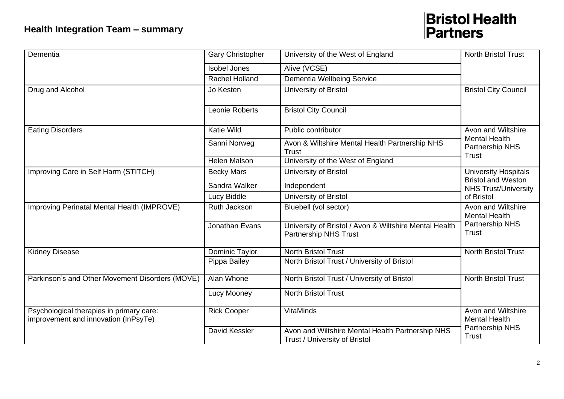| Dementia                                                                         | <b>Gary Christopher</b> | University of the West of England                                                      | <b>North Bristol Trust</b>                                             |  |
|----------------------------------------------------------------------------------|-------------------------|----------------------------------------------------------------------------------------|------------------------------------------------------------------------|--|
|                                                                                  | <b>Isobel Jones</b>     | Alive (VCSE)                                                                           |                                                                        |  |
|                                                                                  | <b>Rachel Holland</b>   | <b>Dementia Wellbeing Service</b>                                                      |                                                                        |  |
| Drug and Alcohol                                                                 | Jo Kesten               | University of Bristol                                                                  | <b>Bristol City Council</b>                                            |  |
|                                                                                  | Leonie Roberts          | <b>Bristol City Council</b>                                                            |                                                                        |  |
| <b>Eating Disorders</b>                                                          | <b>Katie Wild</b>       | Public contributor                                                                     | Avon and Wiltshire                                                     |  |
|                                                                                  | Sanni Norweg            | Avon & Wiltshire Mental Health Partnership NHS<br>Trust                                | <b>Mental Health</b><br>Partnership NHS                                |  |
|                                                                                  | <b>Helen Malson</b>     | University of the West of England                                                      | Trust                                                                  |  |
| Improving Care in Self Harm (STITCH)                                             | <b>Becky Mars</b>       | University of Bristol                                                                  | <b>University Hospitals</b><br><b>Bristol and Weston</b>               |  |
|                                                                                  | Sandra Walker           | Independent                                                                            | <b>NHS Trust/University</b>                                            |  |
|                                                                                  | Lucy Biddle             | University of Bristol                                                                  | of Bristol                                                             |  |
| Improving Perinatal Mental Health (IMPROVE)                                      | Ruth Jackson            | Bluebell (vol sector)                                                                  | Avon and Wiltshire<br><b>Mental Health</b>                             |  |
|                                                                                  | Jonathan Evans          | University of Bristol / Avon & Wiltshire Mental Health<br><b>Partnership NHS Trust</b> | Partnership NHS<br>Trust                                               |  |
| <b>Kidney Disease</b>                                                            | Dominic Taylor          | <b>North Bristol Trust</b>                                                             | <b>North Bristol Trust</b>                                             |  |
|                                                                                  | Pippa Bailey            | North Bristol Trust / University of Bristol                                            |                                                                        |  |
| Parkinson's and Other Movement Disorders (MOVE)                                  | Alan Whone              | North Bristol Trust / University of Bristol                                            | <b>North Bristol Trust</b>                                             |  |
|                                                                                  | Lucy Mooney             | <b>North Bristol Trust</b>                                                             |                                                                        |  |
| Psychological therapies in primary care:<br>improvement and innovation (InPsyTe) | <b>Rick Cooper</b>      | <b>VitaMinds</b>                                                                       | Avon and Wiltshire<br><b>Mental Health</b><br>Partnership NHS<br>Trust |  |
|                                                                                  | David Kessler           | Avon and Wiltshire Mental Health Partnership NHS<br>Trust / University of Bristol      |                                                                        |  |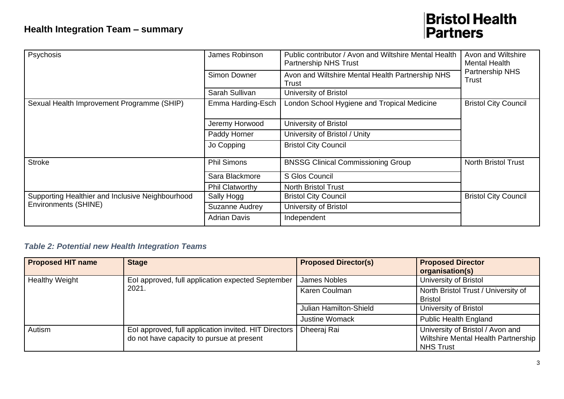| Psychosis                                                                | James Robinson         | Public contributor / Avon and Wiltshire Mental Health<br><b>Partnership NHS Trust</b> | Avon and Wiltshire<br><b>Mental Health</b> |  |
|--------------------------------------------------------------------------|------------------------|---------------------------------------------------------------------------------------|--------------------------------------------|--|
|                                                                          | <b>Simon Downer</b>    | Avon and Wiltshire Mental Health Partnership NHS<br>Trust                             | Partnership NHS<br>Trust                   |  |
|                                                                          | Sarah Sullivan         | University of Bristol                                                                 |                                            |  |
| Sexual Health Improvement Programme (SHIP)                               | Emma Harding-Esch      | London School Hygiene and Tropical Medicine<br><b>Bristol City Council</b>            |                                            |  |
|                                                                          | Jeremy Horwood         | University of Bristol                                                                 |                                            |  |
|                                                                          | Paddy Horner           | University of Bristol / Unity                                                         |                                            |  |
|                                                                          | Jo Copping             | <b>Bristol City Council</b>                                                           |                                            |  |
| <b>Stroke</b>                                                            | <b>Phil Simons</b>     | <b>BNSSG Clinical Commissioning Group</b>                                             | <b>North Bristol Trust</b>                 |  |
|                                                                          | Sara Blackmore         | S Glos Council                                                                        |                                            |  |
|                                                                          | <b>Phil Clatworthy</b> | <b>North Bristol Trust</b>                                                            |                                            |  |
| Supporting Healthier and Inclusive Neighbourhood<br>Environments (SHINE) | Sally Hogg             | <b>Bristol City Council</b>                                                           | <b>Bristol City Council</b>                |  |
|                                                                          | Suzanne Audrey         | University of Bristol                                                                 |                                            |  |
|                                                                          | <b>Adrian Davis</b>    | Independent                                                                           |                                            |  |

#### *Table 2: Potential new Health Integration Teams*

| <b>Proposed HIT name</b> | <b>Stage</b>                                                                                         | <b>Proposed Director(s)</b> | <b>Proposed Director</b>                                                                    |
|--------------------------|------------------------------------------------------------------------------------------------------|-----------------------------|---------------------------------------------------------------------------------------------|
|                          |                                                                                                      |                             | organisation(s)                                                                             |
| <b>Healthy Weight</b>    | Eol approved, full application expected September<br>2021.                                           | James Nobles                | University of Bristol                                                                       |
|                          |                                                                                                      | Karen Coulman               | North Bristol Trust / University of                                                         |
|                          |                                                                                                      |                             | <b>Bristol</b>                                                                              |
|                          |                                                                                                      | Julian Hamilton-Shield      | University of Bristol                                                                       |
|                          |                                                                                                      | <b>Justine Womack</b>       | <b>Public Health England</b>                                                                |
| Autism                   | Eol approved, full application invited. HIT Directors  <br>do not have capacity to pursue at present | Dheeraj Rai                 | University of Bristol / Avon and<br>Wiltshire Mental Health Partnership<br><b>NHS Trust</b> |